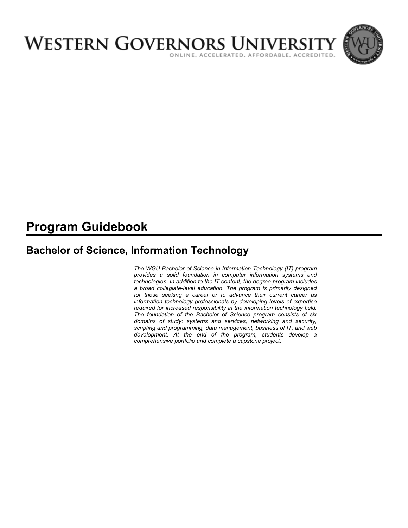

# **Program Guidebook**

# **Bachelor of Science, Information Technology**

*The WGU Bachelor of Science in Information Technology (IT) program provides a solid foundation in computer information systems and technologies. In addition to the IT content, the degree program includes a broad collegiate-level education. The program is primarily designed for those seeking a career or to advance their current career as information technology professionals by developing levels of expertise required for increased responsibility in the information technology field. The foundation of the Bachelor of Science program consists of six domains of study: systems and services, networking and security, scripting and programming, data management, business of IT, and web development. At the end of the program, students develop a comprehensive portfolio and complete a capstone project.*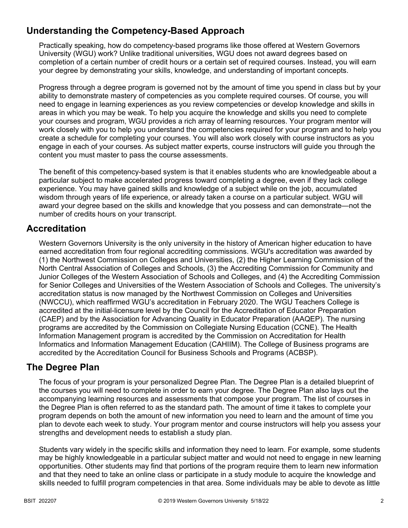# **Understanding the Competency-Based Approach**

Practically speaking, how do competency-based programs like those offered at Western Governors University (WGU) work? Unlike traditional universities, WGU does not award degrees based on completion of a certain number of credit hours or a certain set of required courses. Instead, you will earn your degree by demonstrating your skills, knowledge, and understanding of important concepts.

Progress through a degree program is governed not by the amount of time you spend in class but by your ability to demonstrate mastery of competencies as you complete required courses. Of course, you will need to engage in learning experiences as you review competencies or develop knowledge and skills in areas in which you may be weak. To help you acquire the knowledge and skills you need to complete your courses and program, WGU provides a rich array of learning resources. Your program mentor will work closely with you to help you understand the competencies required for your program and to help you create a schedule for completing your courses. You will also work closely with course instructors as you engage in each of your courses. As subject matter experts, course instructors will guide you through the content you must master to pass the course assessments.

The benefit of this competency-based system is that it enables students who are knowledgeable about a particular subject to make accelerated progress toward completing a degree, even if they lack college experience. You may have gained skills and knowledge of a subject while on the job, accumulated wisdom through years of life experience, or already taken a course on a particular subject. WGU will award your degree based on the skills and knowledge that you possess and can demonstrate—not the number of credits hours on your transcript.

### **Accreditation**

Western Governors University is the only university in the history of American higher education to have earned accreditation from four regional accrediting commissions. WGU's accreditation was awarded by (1) the Northwest Commission on Colleges and Universities, (2) the Higher Learning Commission of the North Central Association of Colleges and Schools, (3) the Accrediting Commission for Community and Junior Colleges of the Western Association of Schools and Colleges, and (4) the Accrediting Commission for Senior Colleges and Universities of the Western Association of Schools and Colleges. The university's accreditation status is now managed by the Northwest Commission on Colleges and Universities (NWCCU), which reaffirmed WGU's accreditation in February 2020. The WGU Teachers College is accredited at the initial-licensure level by the Council for the Accreditation of Educator Preparation (CAEP) and by the Association for Advancing Quality in Educator Preparation (AAQEP). The nursing programs are accredited by the Commission on Collegiate Nursing Education (CCNE). The Health Information Management program is accredited by the Commission on Accreditation for Health Informatics and Information Management Education (CAHIIM). The College of Business programs are accredited by the Accreditation Council for Business Schools and Programs (ACBSP).

### **The Degree Plan**

The focus of your program is your personalized Degree Plan. The Degree Plan is a detailed blueprint of the courses you will need to complete in order to earn your degree. The Degree Plan also lays out the accompanying learning resources and assessments that compose your program. The list of courses in the Degree Plan is often referred to as the standard path. The amount of time it takes to complete your program depends on both the amount of new information you need to learn and the amount of time you plan to devote each week to study. Your program mentor and course instructors will help you assess your strengths and development needs to establish a study plan.

Students vary widely in the specific skills and information they need to learn. For example, some students may be highly knowledgeable in a particular subject matter and would not need to engage in new learning opportunities. Other students may find that portions of the program require them to learn new information and that they need to take an online class or participate in a study module to acquire the knowledge and skills needed to fulfill program competencies in that area. Some individuals may be able to devote as little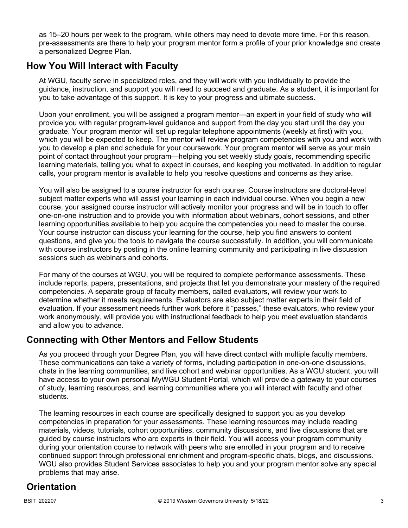as 15–20 hours per week to the program, while others may need to devote more time. For this reason, pre-assessments are there to help your program mentor form a profile of your prior knowledge and create a personalized Degree Plan.

### **How You Will Interact with Faculty**

At WGU, faculty serve in specialized roles, and they will work with you individually to provide the guidance, instruction, and support you will need to succeed and graduate. As a student, it is important for you to take advantage of this support. It is key to your progress and ultimate success.

Upon your enrollment, you will be assigned a program mentor—an expert in your field of study who will provide you with regular program-level guidance and support from the day you start until the day you graduate. Your program mentor will set up regular telephone appointments (weekly at first) with you, which you will be expected to keep. The mentor will review program competencies with you and work with you to develop a plan and schedule for your coursework. Your program mentor will serve as your main point of contact throughout your program—helping you set weekly study goals, recommending specific learning materials, telling you what to expect in courses, and keeping you motivated. In addition to regular calls, your program mentor is available to help you resolve questions and concerns as they arise.

You will also be assigned to a course instructor for each course. Course instructors are doctoral-level subject matter experts who will assist your learning in each individual course. When you begin a new course, your assigned course instructor will actively monitor your progress and will be in touch to offer one-on-one instruction and to provide you with information about webinars, cohort sessions, and other learning opportunities available to help you acquire the competencies you need to master the course. Your course instructor can discuss your learning for the course, help you find answers to content questions, and give you the tools to navigate the course successfully. In addition, you will communicate with course instructors by posting in the online learning community and participating in live discussion sessions such as webinars and cohorts.

For many of the courses at WGU, you will be required to complete performance assessments. These include reports, papers, presentations, and projects that let you demonstrate your mastery of the required competencies. A separate group of faculty members, called evaluators, will review your work to determine whether it meets requirements. Evaluators are also subject matter experts in their field of evaluation. If your assessment needs further work before it "passes," these evaluators, who review your work anonymously, will provide you with instructional feedback to help you meet evaluation standards and allow you to advance.

## **Connecting with Other Mentors and Fellow Students**

As you proceed through your Degree Plan, you will have direct contact with multiple faculty members. These communications can take a variety of forms, including participation in one-on-one discussions, chats in the learning communities, and live cohort and webinar opportunities. As a WGU student, you will have access to your own personal MyWGU Student Portal, which will provide a gateway to your courses of study, learning resources, and learning communities where you will interact with faculty and other students.

The learning resources in each course are specifically designed to support you as you develop competencies in preparation for your assessments. These learning resources may include reading materials, videos, tutorials, cohort opportunities, community discussions, and live discussions that are guided by course instructors who are experts in their field. You will access your program community during your orientation course to network with peers who are enrolled in your program and to receive continued support through professional enrichment and program-specific chats, blogs, and discussions. WGU also provides Student Services associates to help you and your program mentor solve any special problems that may arise.

# **Orientation**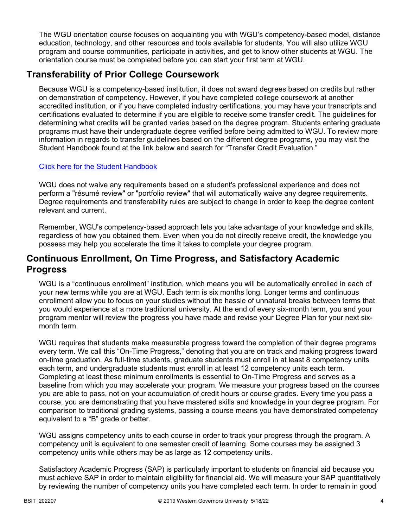The WGU orientation course focuses on acquainting you with WGU's competency-based model, distance education, technology, and other resources and tools available for students. You will also utilize WGU program and course communities, participate in activities, and get to know other students at WGU. The orientation course must be completed before you can start your first term at WGU.

## **Transferability of Prior College Coursework**

Because WGU is a competency-based institution, it does not award degrees based on credits but rather on demonstration of competency. However, if you have completed college coursework at another accredited institution, or if you have completed industry certifications, you may have your transcripts and certifications evaluated to determine if you are eligible to receive some transfer credit. The guidelines for determining what credits will be granted varies based on the degree program. Students entering graduate programs must have their undergraduate degree verified before being admitted to WGU. To review more information in regards to transfer guidelines based on the different degree programs, you may visit the Student Handbook found at the link below and search for "Transfer Credit Evaluation."

### [Click here for the Student Handbook](http://cm.wgu.edu/)

WGU does not waive any requirements based on a student's professional experience and does not perform a "résumé review" or "portfolio review" that will automatically waive any degree requirements. Degree requirements and transferability rules are subject to change in order to keep the degree content relevant and current.

Remember, WGU's competency-based approach lets you take advantage of your knowledge and skills, regardless of how you obtained them. Even when you do not directly receive credit, the knowledge you possess may help you accelerate the time it takes to complete your degree program.

### **Continuous Enrollment, On Time Progress, and Satisfactory Academic Progress**

WGU is a "continuous enrollment" institution, which means you will be automatically enrolled in each of your new terms while you are at WGU. Each term is six months long. Longer terms and continuous enrollment allow you to focus on your studies without the hassle of unnatural breaks between terms that you would experience at a more traditional university. At the end of every six-month term, you and your program mentor will review the progress you have made and revise your Degree Plan for your next sixmonth term.

WGU requires that students make measurable progress toward the completion of their degree programs every term. We call this "On-Time Progress," denoting that you are on track and making progress toward on-time graduation. As full-time students, graduate students must enroll in at least 8 competency units each term, and undergraduate students must enroll in at least 12 competency units each term. Completing at least these minimum enrollments is essential to On-Time Progress and serves as a baseline from which you may accelerate your program. We measure your progress based on the courses you are able to pass, not on your accumulation of credit hours or course grades. Every time you pass a course, you are demonstrating that you have mastered skills and knowledge in your degree program. For comparison to traditional grading systems, passing a course means you have demonstrated competency equivalent to a "B" grade or better.

WGU assigns competency units to each course in order to track your progress through the program. A competency unit is equivalent to one semester credit of learning. Some courses may be assigned 3 competency units while others may be as large as 12 competency units.

Satisfactory Academic Progress (SAP) is particularly important to students on financial aid because you must achieve SAP in order to maintain eligibility for financial aid. We will measure your SAP quantitatively by reviewing the number of competency units you have completed each term. In order to remain in good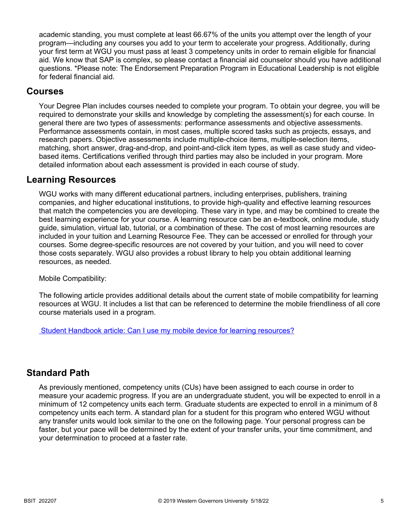academic standing, you must complete at least 66.67% of the units you attempt over the length of your program—including any courses you add to your term to accelerate your progress. Additionally, during your first term at WGU you must pass at least 3 competency units in order to remain eligible for financial aid. We know that SAP is complex, so please contact a financial aid counselor should you have additional questions. \*Please note: The Endorsement Preparation Program in Educational Leadership is not eligible for federal financial aid.

### **Courses**

Your Degree Plan includes courses needed to complete your program. To obtain your degree, you will be required to demonstrate your skills and knowledge by completing the assessment(s) for each course. In general there are two types of assessments: performance assessments and objective assessments. Performance assessments contain, in most cases, multiple scored tasks such as projects, essays, and research papers. Objective assessments include multiple-choice items, multiple-selection items, matching, short answer, drag-and-drop, and point-and-click item types, as well as case study and videobased items. Certifications verified through third parties may also be included in your program. More detailed information about each assessment is provided in each course of study.

### **Learning Resources**

WGU works with many different educational partners, including enterprises, publishers, training companies, and higher educational institutions, to provide high-quality and effective learning resources that match the competencies you are developing. These vary in type, and may be combined to create the best learning experience for your course. A learning resource can be an e-textbook, online module, study guide, simulation, virtual lab, tutorial, or a combination of these. The cost of most learning resources are included in your tuition and Learning Resource Fee. They can be accessed or enrolled for through your courses. Some degree-specific resources are not covered by your tuition, and you will need to cover those costs separately. WGU also provides a robust library to help you obtain additional learning resources, as needed.

Mobile Compatibility:

The following article provides additional details about the current state of mobile compatibility for learning resources at WGU. It includes a list that can be referenced to determine the mobile friendliness of all core course materials used in a program.

 [Student Handbook article: Can I use my mobile device for learning resources?](https://cm.wgu.edu/t5/Frequently-Asked-Questions/Can-I-use-my-mobile-device-for-learning-resources/ta-p/396)

### **Standard Path**

As previously mentioned, competency units (CUs) have been assigned to each course in order to measure your academic progress. If you are an undergraduate student, you will be expected to enroll in a minimum of 12 competency units each term. Graduate students are expected to enroll in a minimum of 8 competency units each term. A standard plan for a student for this program who entered WGU without any transfer units would look similar to the one on the following page. Your personal progress can be faster, but your pace will be determined by the extent of your transfer units, your time commitment, and your determination to proceed at a faster rate.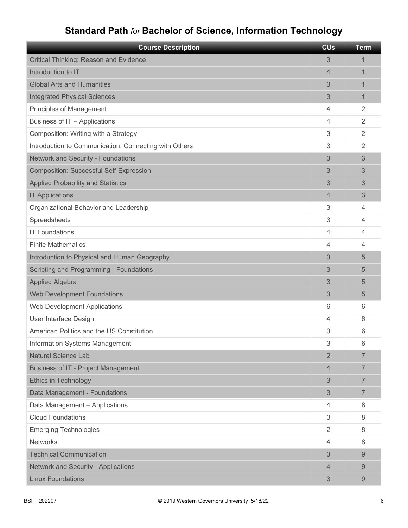# **Standard Path** *for* **Bachelor of Science, Information Technology**

| <b>Course Description</b>                             | <b>CU<sub>s</sub></b> | <b>Term</b>    |
|-------------------------------------------------------|-----------------------|----------------|
| Critical Thinking: Reason and Evidence                | 3                     | 1              |
| Introduction to IT                                    | 4                     | 1              |
| <b>Global Arts and Humanities</b>                     | 3                     | 1              |
| <b>Integrated Physical Sciences</b>                   | 3                     | 1              |
| Principles of Management                              | 4                     | $\overline{2}$ |
| Business of IT - Applications                         | 4                     | $\overline{2}$ |
| Composition: Writing with a Strategy                  | 3                     | $\overline{2}$ |
| Introduction to Communication: Connecting with Others | 3                     | $\overline{2}$ |
| <b>Network and Security - Foundations</b>             | 3                     | 3              |
| <b>Composition: Successful Self-Expression</b>        | 3                     | 3              |
| <b>Applied Probability and Statistics</b>             | 3                     | 3              |
| <b>IT Applications</b>                                | 4                     | 3              |
| Organizational Behavior and Leadership                | 3                     | 4              |
| Spreadsheets                                          | 3                     | 4              |
| <b>IT Foundations</b>                                 | 4                     | 4              |
| <b>Finite Mathematics</b>                             | 4                     | 4              |
| Introduction to Physical and Human Geography          | 3                     | 5              |
| Scripting and Programming - Foundations               | 3                     | 5              |
| <b>Applied Algebra</b>                                | 3                     | 5              |
| <b>Web Development Foundations</b>                    | 3                     | 5              |
| Web Development Applications                          | 6                     | 6              |
| User Interface Design                                 | 4                     | 6              |
| American Politics and the US Constitution             | 3                     | 6              |
| Information Systems Management                        | 3                     | 6              |
| <b>Natural Science Lab</b>                            | $\overline{2}$        | 7              |
| <b>Business of IT - Project Management</b>            | 4                     | $\overline{7}$ |
| Ethics in Technology                                  | 3                     | $\overline{7}$ |
| Data Management - Foundations                         | 3                     | $\overline{7}$ |
| Data Management - Applications                        | 4                     | 8              |
| <b>Cloud Foundations</b>                              | 3                     | 8              |
| <b>Emerging Technologies</b>                          | $\overline{2}$        | 8              |
| <b>Networks</b>                                       | 4                     | 8              |
| <b>Technical Communication</b>                        | 3                     | 9              |
| Network and Security - Applications                   | 4                     | 9              |
| <b>Linux Foundations</b>                              | 3                     | 9              |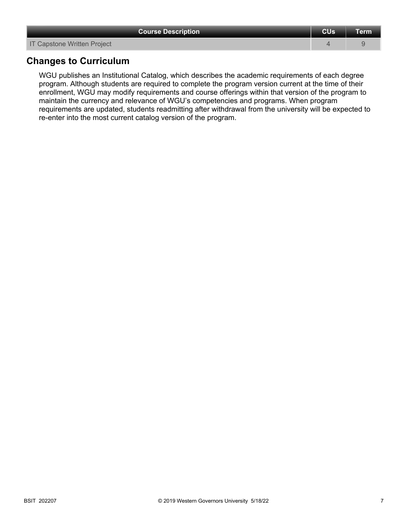| <b>Course Description</b>          | <b>CU<sub>s</sub></b> | Term l |
|------------------------------------|-----------------------|--------|
| <b>IT Capstone Written Project</b> |                       |        |

### **Changes to Curriculum**

WGU publishes an Institutional Catalog, which describes the academic requirements of each degree program. Although students are required to complete the program version current at the time of their enrollment, WGU may modify requirements and course offerings within that version of the program to maintain the currency and relevance of WGU's competencies and programs. When program requirements are updated, students readmitting after withdrawal from the university will be expected to re-enter into the most current catalog version of the program.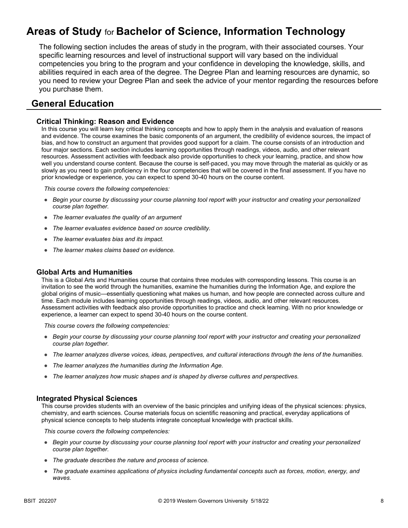# **Areas of Study** for **Bachelor of Science, Information Technology**

The following section includes the areas of study in the program, with their associated courses. Your specific learning resources and level of instructional support will vary based on the individual competencies you bring to the program and your confidence in developing the knowledge, skills, and abilities required in each area of the degree. The Degree Plan and learning resources are dynamic, so you need to review your Degree Plan and seek the advice of your mentor regarding the resources before you purchase them.

### **General Education**

### **Critical Thinking: Reason and Evidence**

In this course you will learn key critical thinking concepts and how to apply them in the analysis and evaluation of reasons and evidence. The course examines the basic components of an argument, the credibility of evidence sources, the impact of bias, and how to construct an argument that provides good support for a claim. The course consists of an introduction and four major sections. Each section includes learning opportunities through readings, videos, audio, and other relevant resources. Assessment activities with feedback also provide opportunities to check your learning, practice, and show how well you understand course content. Because the course is self-paced, you may move through the material as quickly or as slowly as you need to gain proficiency in the four competencies that will be covered in the final assessment. If you have no prior knowledge or experience, you can expect to spend 30-40 hours on the course content.

*This course covers the following competencies:*

- *Begin your course by discussing your course planning tool report with your instructor and creating your personalized course plan together.*
- *The learner evaluates the quality of an argument*
- *The learner evaluates evidence based on source credibility.*
- *The learner evaluates bias and its impact.*
- *The learner makes claims based on evidence.*

### **Global Arts and Humanities**

This is a Global Arts and Humanities course that contains three modules with corresponding lessons. This course is an invitation to see the world through the humanities, examine the humanities during the Information Age, and explore the global origins of music—essentially questioning what makes us human, and how people are connected across culture and time. Each module includes learning opportunities through readings, videos, audio, and other relevant resources. Assessment activities with feedback also provide opportunities to practice and check learning. With no prior knowledge or experience, a learner can expect to spend 30-40 hours on the course content.

*This course covers the following competencies:*

- *Begin your course by discussing your course planning tool report with your instructor and creating your personalized course plan together.*
- *The learner analyzes diverse voices, ideas, perspectives, and cultural interactions through the lens of the humanities.*
- *The learner analyzes the humanities during the Information Age.*
- *The learner analyzes how music shapes and is shaped by diverse cultures and perspectives.*

#### **Integrated Physical Sciences**

This course provides students with an overview of the basic principles and unifying ideas of the physical sciences: physics, chemistry, and earth sciences. Course materials focus on scientific reasoning and practical, everyday applications of physical science concepts to help students integrate conceptual knowledge with practical skills.

- *Begin your course by discussing your course planning tool report with your instructor and creating your personalized course plan together.*
- *The graduate describes the nature and process of science.*
- *The graduate examines applications of physics including fundamental concepts such as forces, motion, energy, and waves.*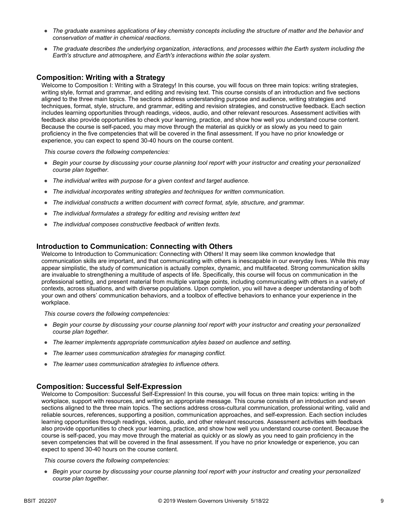- *The graduate examines applications of key chemistry concepts including the structure of matter and the behavior and conservation of matter in chemical reactions.*
- *The graduate describes the underlying organization, interactions, and processes within the Earth system including the Earth's structure and atmosphere, and Earth's interactions within the solar system.*

### **Composition: Writing with a Strategy**

Welcome to Composition I: Writing with a Strategy! In this course, you will focus on three main topics: writing strategies, writing style, format and grammar, and editing and revising text. This course consists of an introduction and five sections aligned to the three main topics. The sections address understanding purpose and audience, writing strategies and techniques, format, style, structure, and grammar, editing and revision strategies, and constructive feedback. Each section includes learning opportunities through readings, videos, audio, and other relevant resources. Assessment activities with feedback also provide opportunities to check your learning, practice, and show how well you understand course content. Because the course is self-paced, you may move through the material as quickly or as slowly as you need to gain proficiency in the five competencies that will be covered in the final assessment. If you have no prior knowledge or experience, you can expect to spend 30-40 hours on the course content.

*This course covers the following competencies:*

- *Begin your course by discussing your course planning tool report with your instructor and creating your personalized course plan together.*
- *The individual writes with purpose for a given context and target audience.*
- *The individual incorporates writing strategies and techniques for written communication.*
- *The individual constructs a written document with correct format, style, structure, and grammar.*
- *The individual formulates a strategy for editing and revising written text*
- *The individual composes constructive feedback of written texts.*

### **Introduction to Communication: Connecting with Others**

Welcome to Introduction to Communication: Connecting with Others! It may seem like common knowledge that communication skills are important, and that communicating with others is inescapable in our everyday lives. While this may appear simplistic, the study of communication is actually complex, dynamic, and multifaceted. Strong communication skills are invaluable to strengthening a multitude of aspects of life. Specifically, this course will focus on communication in the professional setting, and present material from multiple vantage points, including communicating with others in a variety of contexts, across situations, and with diverse populations. Upon completion, you will have a deeper understanding of both your own and others' communication behaviors, and a toolbox of effective behaviors to enhance your experience in the workplace.

*This course covers the following competencies:*

- *Begin your course by discussing your course planning tool report with your instructor and creating your personalized course plan together.*
- *The learner implements appropriate communication styles based on audience and setting.*
- *The learner uses communication strategies for managing conflict.*
- *The learner uses communication strategies to influence others.*

### **Composition: Successful Self-Expression**

Welcome to Composition: Successful Self-Expression! In this course, you will focus on three main topics: writing in the workplace, support with resources, and writing an appropriate message. This course consists of an introduction and seven sections aligned to the three main topics. The sections address cross-cultural communication, professional writing, valid and reliable sources, references, supporting a position, communication approaches, and self-expression. Each section includes learning opportunities through readings, videos, audio, and other relevant resources. Assessment activities with feedback also provide opportunities to check your learning, practice, and show how well you understand course content. Because the course is self-paced, you may move through the material as quickly or as slowly as you need to gain proficiency in the seven competencies that will be covered in the final assessment. If you have no prior knowledge or experience, you can expect to spend 30-40 hours on the course content.

*This course covers the following competencies:*

● *Begin your course by discussing your course planning tool report with your instructor and creating your personalized course plan together.*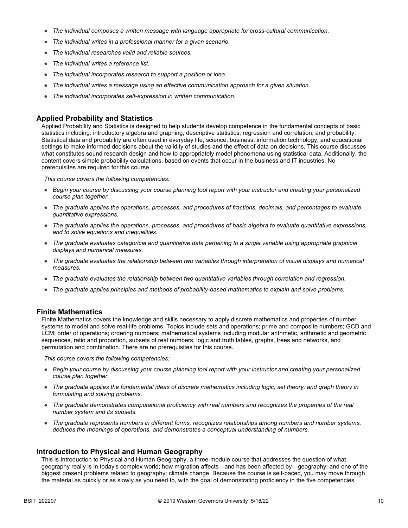- *The individual composes a written message with language appropriate for cross-cultural communication.*
- *The individual writes in a professional manner for a given scenario.*
- *The individual researches valid and reliable sources.*
- *The individual writes a reference list.*
- *The individual incorporates research to support a position or idea.*
- *The individual writes a message using an effective communication approach for a given situation.*
- *The individual incorporates self-expression in written communication.*

#### **Applied Probability and Statistics**

Applied Probability and Statistics is designed to help students develop competence in the fundamental concepts of basic statistics including: introductory algebra and graphing; descriptive statistics; regression and correlation; and probability. Statistical data and probability are often used in everyday life, science, business, information technology, and educational settings to make informed decisions about the validity of studies and the effect of data on decisions. This course discusses what constitutes sound research design and how to appropriately model phenomena using statistical data. Additionally, the content covers simple probability calculations, based on events that occur in the business and IT industries. No prerequisites are required for this course.

*This course covers the following competencies:*

- *Begin your course by discussing your course planning tool report with your instructor and creating your personalized course plan together.*
- *The graduate applies the operations, processes, and procedures of fractions, decimals, and percentages to evaluate quantitative expressions.*
- *The graduate applies the operations, processes, and procedures of basic algebra to evaluate quantitative expressions, and to solve equations and inequalities.*
- The graduate evaluates categorical and quantitative data pertaining to a single variable using appropriate graphical *displays and numerical measures.*
- *The graduate evaluates the relationship between two variables through interpretation of visual displays and numerical measures.*
- *The graduate evaluates the relationship between two quantitative variables through correlation and regression.*
- *The graduate applies principles and methods of probability-based mathematics to explain and solve problems.*

#### **Finite Mathematics**

Finite Mathematics covers the knowledge and skills necessary to apply discrete mathematics and properties of number systems to model and solve real-life problems. Topics include sets and operations; prime and composite numbers; GCD and LCM; order of operations; ordering numbers; mathematical systems including modular arithmetic, arithmetic and geometric sequences, ratio and proportion, subsets of real numbers, logic and truth tables, graphs, trees and networks, and permutation and combination. There are no prerequisites for this course.

*This course covers the following competencies:*

- *Begin your course by discussing your course planning tool report with your instructor and creating your personalized course plan together.*
- *The graduate applies the fundamental ideas of discrete mathematics including logic, set theory, and graph theory in formulating and solving problems.*
- *The graduate demonstrates computational proficiency with real numbers and recognizes the properties of the real number system and its subsets.*
- *The graduate represents numbers in different forms, recognizes relationships among numbers and number systems, deduces the meanings of operations, and demonstrates a conceptual understanding of numbers.*

#### **Introduction to Physical and Human Geography**

This is Introduction to Physical and Human Geography, a three-module course that addresses the question of what geography really is in today's complex world; how migration affects—and has been affected by—geography; and one of the biggest present problems related to geography: climate change. Because the course is self-paced, you may move through the material as quickly or as slowly as you need to, with the goal of demonstrating proficiency in the five competencies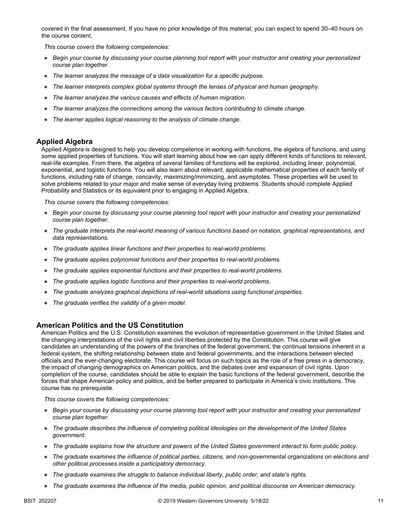covered in the final assessment. If you have no prior knowledge of this material, you can expect to spend 30–40 hours on the course content.

*This course covers the following competencies:*

- *Begin your course by discussing your course planning tool report with your instructor and creating your personalized course plan together.*
- *The learner analyzes the message of a data visualization for a specific purpose.*
- *The learner interprets complex global systems through the lenses of physical and human geography.*
- *The learner analyzes the various causes and effects of human migration.*
- *The learner analyzes the connections among the various factors contributing to climate change.*
- *The learner applies logical reasoning to the analysis of climate change.*

#### **Applied Algebra**

Applied Algebra is designed to help you develop competence in working with functions, the algebra of functions, and using some applied properties of functions. You will start learning about how we can apply different kinds of functions to relevant, real-life examples. From there, the algebra of several families of functions will be explored, including linear, polynomial, exponential, and logistic functions. You will also learn about relevant, applicable mathematical properties of each family of functions, including rate of change, concavity, maximizing/minimizing, and asymptotes. These properties will be used to solve problems related to your major and make sense of everyday living problems. Students should complete Applied Probability and Statistics or its equivalent prior to engaging in Applied Algebra.

*This course covers the following competencies:*

- *Begin your course by discussing your course planning tool report with your instructor and creating your personalized course plan together.*
- *The graduate interprets the real-world meaning of various functions based on notation, graphical representations, and data representations.*
- *The graduate applies linear functions and their properties to real-world problems.*
- *The graduate applies polynomial functions and their properties to real-world problems.*
- *The graduate applies exponential functions and their properties to real-world problems.*
- *The graduate applies logistic functions and their properties to real-world problems.*
- *The graduate analyzes graphical depictions of real-world situations using functional properties.*
- *The graduate verifies the validity of a given model.*

#### **American Politics and the US Constitution**

American Politics and the U.S. Constitution examines the evolution of representative government in the United States and the changing interpretations of the civil rights and civil liberties protected by the Constitution. This course will give candidates an understanding of the powers of the branches of the federal government, the continual tensions inherent in a federal system, the shifting relationship between state and federal governments, and the interactions between elected officials and the ever-changing electorate. This course will focus on such topics as the role of a free press in a democracy, the impact of changing demographics on American politics, and the debates over and expansion of civil rights. Upon completion of the course, candidates should be able to explain the basic functions of the federal government, describe the forces that shape American policy and politics, and be better prepared to participate in America's civic institutions. This course has no prerequisite.

- *Begin your course by discussing your course planning tool report with your instructor and creating your personalized course plan together.*
- *The graduate describes the influence of competing political ideologies on the development of the United States government.*
- *The graduate explains how the structure and powers of the United States government interact to form public policy.*
- *The graduate examines the influence of political parties, citizens, and non-governmental organizations on elections and other political processes inside a participatory democracy.*
- *The graduate examines the struggle to balance individual liberty, public order, and state's rights.*
- *The graduate examines the influence of the media, public opinion, and political discourse on American democracy.*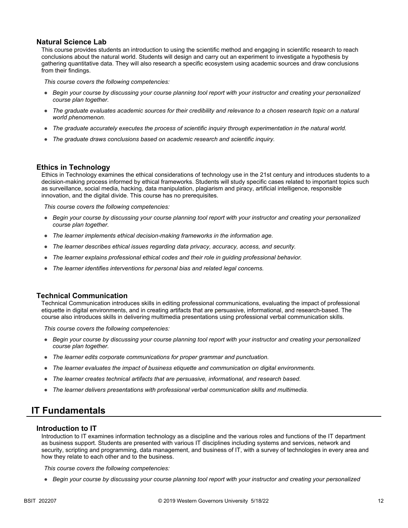#### **Natural Science Lab**

This course provides students an introduction to using the scientific method and engaging in scientific research to reach conclusions about the natural world. Students will design and carry out an experiment to investigate a hypothesis by gathering quantitative data. They will also research a specific ecosystem using academic sources and draw conclusions from their findings.

*This course covers the following competencies:*

- *Begin your course by discussing your course planning tool report with your instructor and creating your personalized course plan together.*
- *The graduate evaluates academic sources for their credibility and relevance to a chosen research topic on a natural world phenomenon.*
- *The graduate accurately executes the process of scientific inquiry through experimentation in the natural world.*
- *The graduate draws conclusions based on academic research and scientific inquiry.*

### **Ethics in Technology**

Ethics in Technology examines the ethical considerations of technology use in the 21st century and introduces students to a decision-making process informed by ethical frameworks. Students will study specific cases related to important topics such as surveillance, social media, hacking, data manipulation, plagiarism and piracy, artificial intelligence, responsible innovation, and the digital divide. This course has no prerequisites.

*This course covers the following competencies:*

- *Begin your course by discussing your course planning tool report with your instructor and creating your personalized course plan together.*
- *The learner implements ethical decision-making frameworks in the information age.*
- *The learner describes ethical issues regarding data privacy, accuracy, access, and security.*
- *The learner explains professional ethical codes and their role in guiding professional behavior.*
- *The learner identifies interventions for personal bias and related legal concerns.*

### **Technical Communication**

Technical Communication introduces skills in editing professional communications, evaluating the impact of professional etiquette in digital environments, and in creating artifacts that are persuasive, informational, and research-based. The course also introduces skills in delivering multimedia presentations using professional verbal communication skills.

*This course covers the following competencies:*

- *Begin your course by discussing your course planning tool report with your instructor and creating your personalized course plan together.*
- *The learner edits corporate communications for proper grammar and punctuation.*
- *The learner evaluates the impact of business etiquette and communication on digital environments.*
- *The learner creates technical artifacts that are persuasive, informational, and research based.*
- *The learner delivers presentations with professional verbal communication skills and multimedia.*

### **IT Fundamentals**

#### **Introduction to IT**

Introduction to IT examines information technology as a discipline and the various roles and functions of the IT department as business support. Students are presented with various IT disciplines including systems and services, network and security, scripting and programming, data management, and business of IT, with a survey of technologies in every area and how they relate to each other and to the business.

*This course covers the following competencies:*

● *Begin your course by discussing your course planning tool report with your instructor and creating your personalized*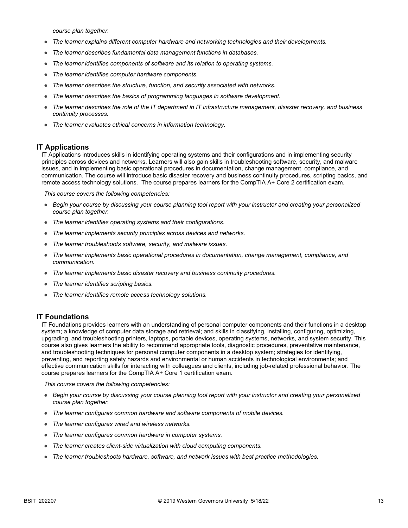*course plan together.*

- *The learner explains different computer hardware and networking technologies and their developments.*
- *The learner describes fundamental data management functions in databases.*
- *The learner identifies components of software and its relation to operating systems.*
- *The learner identifies computer hardware components.*
- *The learner describes the structure, function, and security associated with networks.*
- *The learner describes the basics of programming languages in software development.*
- The learner describes the role of the IT department in IT infrastructure management, disaster recovery, and business *continuity processes.*
- *The learner evaluates ethical concerns in information technology.*

### **IT Applications**

IT Applications introduces skills in identifying operating systems and their configurations and in implementing security principles across devices and networks. Learners will also gain skills in troubleshooting software, security, and malware issues, and in implementing basic operational procedures in documentation, change management, compliance, and communication. The course will introduce basic disaster recovery and business continuity procedures, scripting basics, and remote access technology solutions. The course prepares learners for the CompTIA A+ Core 2 certification exam.

*This course covers the following competencies:*

- *Begin your course by discussing your course planning tool report with your instructor and creating your personalized course plan together.*
- *The learner identifies operating systems and their configurations.*
- *The learner implements security principles across devices and networks.*
- *The learner troubleshoots software, security, and malware issues.*
- *The learner implements basic operational procedures in documentation, change management, compliance, and communication.*
- *The learner implements basic disaster recovery and business continuity procedures.*
- *The learner identifies scripting basics.*
- *The learner identifies remote access technology solutions.*

### **IT Foundations**

IT Foundations provides learners with an understanding of personal computer components and their functions in a desktop system; a knowledge of computer data storage and retrieval; and skills in classifying, installing, configuring, optimizing, upgrading, and troubleshooting printers, laptops, portable devices, operating systems, networks, and system security. This course also gives learners the ability to recommend appropriate tools, diagnostic procedures, preventative maintenance, and troubleshooting techniques for personal computer components in a desktop system; strategies for identifying, preventing, and reporting safety hazards and environmental or human accidents in technological environments; and effective communication skills for interacting with colleagues and clients, including job-related professional behavior. The course prepares learners for the CompTIA A+ Core 1 certification exam.

- *Begin your course by discussing your course planning tool report with your instructor and creating your personalized course plan together.*
- *The learner configures common hardware and software components of mobile devices.*
- *The learner configures wired and wireless networks.*
- *The learner configures common hardware in computer systems.*
- *The learner creates client-side virtualization with cloud computing components.*
- *The learner troubleshoots hardware, software, and network issues with best practice methodologies.*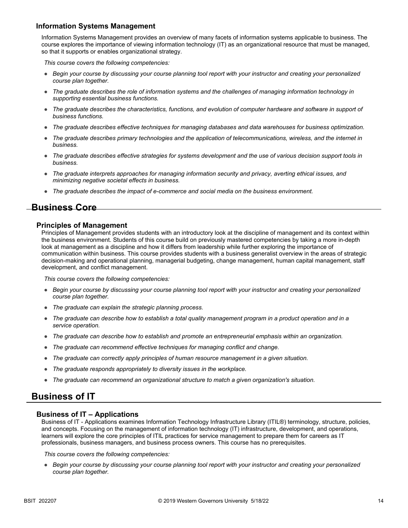### **Information Systems Management**

Information Systems Management provides an overview of many facets of information systems applicable to business. The course explores the importance of viewing information technology (IT) as an organizational resource that must be managed, so that it supports or enables organizational strategy.

*This course covers the following competencies:*

- *Begin your course by discussing your course planning tool report with your instructor and creating your personalized course plan together.*
- *The graduate describes the role of information systems and the challenges of managing information technology in supporting essential business functions.*
- *The graduate describes the characteristics, functions, and evolution of computer hardware and software in support of business functions.*
- *The graduate describes effective techniques for managing databases and data warehouses for business optimization.*
- *The graduate describes primary technologies and the application of telecommunications, wireless, and the internet in business.*
- *The graduate describes effective strategies for systems development and the use of various decision support tools in business.*
- *The graduate interprets approaches for managing information security and privacy, averting ethical issues, and minimizing negative societal effects in business.*
- *The graduate describes the impact of e-commerce and social media on the business environment.*

### **Business Core**

### **Principles of Management**

Principles of Management provides students with an introductory look at the discipline of management and its context within the business environment. Students of this course build on previously mastered competencies by taking a more in-depth look at management as a discipline and how it differs from leadership while further exploring the importance of communication within business. This course provides students with a business generalist overview in the areas of strategic decision-making and operational planning, managerial budgeting, change management, human capital management, staff development, and conflict management.

*This course covers the following competencies:*

- *Begin your course by discussing your course planning tool report with your instructor and creating your personalized course plan together.*
- *The graduate can explain the strategic planning process.*
- *The graduate can describe how to establish a total quality management program in a product operation and in a service operation.*
- *The graduate can describe how to establish and promote an entrepreneurial emphasis within an organization.*
- *The graduate can recommend effective techniques for managing conflict and change.*
- *The graduate can correctly apply principles of human resource management in a given situation.*
- *The graduate responds appropriately to diversity issues in the workplace.*
- *The graduate can recommend an organizational structure to match a given organization's situation.*

### **Business of IT**

### **Business of IT – Applications**

Business of IT - Applications examines Information Technology Infrastructure Library (ITIL®) terminology, structure, policies, and concepts. Focusing on the management of information technology (IT) infrastructure, development, and operations, learners will explore the core principles of ITIL practices for service management to prepare them for careers as IT professionals, business managers, and business process owners. This course has no prerequisites.

*This course covers the following competencies:*

● *Begin your course by discussing your course planning tool report with your instructor and creating your personalized course plan together.*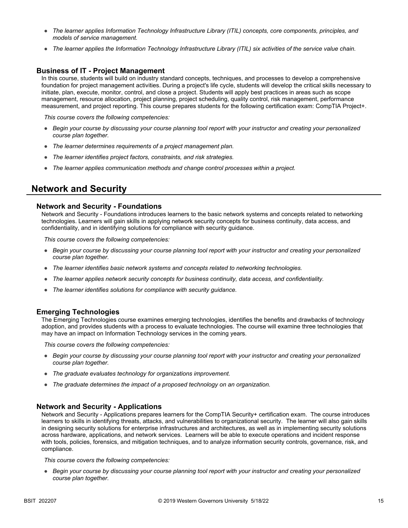- *The learner applies Information Technology Infrastructure Library (ITIL) concepts, core components, principles, and models of service management.*
- *The learner applies the Information Technology Infrastructure Library (ITIL) six activities of the service value chain.*

### **Business of IT - Project Management**

In this course, students will build on industry standard concepts, techniques, and processes to develop a comprehensive foundation for project management activities. During a project's life cycle, students will develop the critical skills necessary to initiate, plan, execute, monitor, control, and close a project. Students will apply best practices in areas such as scope management, resource allocation, project planning, project scheduling, quality control, risk management, performance measurement, and project reporting. This course prepares students for the following certification exam: CompTIA Project+.

*This course covers the following competencies:*

- *Begin your course by discussing your course planning tool report with your instructor and creating your personalized course plan together.*
- *The learner determines requirements of a project management plan.*
- *The learner identifies project factors, constraints, and risk strategies.*
- *The learner applies communication methods and change control processes within a project.*

### **Network and Security**

#### **Network and Security - Foundations**

Network and Security - Foundations introduces learners to the basic network systems and concepts related to networking technologies. Learners will gain skills in applying network security concepts for business continuity, data access, and confidentiality, and in identifying solutions for compliance with security guidance.

*This course covers the following competencies:*

- *Begin your course by discussing your course planning tool report with your instructor and creating your personalized course plan together.*
- *The learner identifies basic network systems and concepts related to networking technologies.*
- *The learner applies network security concepts for business continuity, data access, and confidentiality.*
- *The learner identifies solutions for compliance with security guidance.*

### **Emerging Technologies**

The Emerging Technologies course examines emerging technologies, identifies the benefits and drawbacks of technology adoption, and provides students with a process to evaluate technologies. The course will examine three technologies that may have an impact on Information Technology services in the coming years.

*This course covers the following competencies:*

- *Begin your course by discussing your course planning tool report with your instructor and creating your personalized course plan together.*
- *The graduate evaluates technology for organizations improvement.*
- *The graduate determines the impact of a proposed technology on an organization.*

### **Network and Security - Applications**

Network and Security - Applications prepares learners for the CompTIA Security+ certification exam. The course introduces learners to skills in identifying threats, attacks, and vulnerabilities to organizational security. The learner will also gain skills in designing security solutions for enterprise infrastructures and architectures, as well as in implementing security solutions across hardware, applications, and network services. Learners will be able to execute operations and incident response with tools, policies, forensics, and mitigation techniques, and to analyze information security controls, governance, risk, and compliance.

*This course covers the following competencies:*

● *Begin your course by discussing your course planning tool report with your instructor and creating your personalized course plan together.*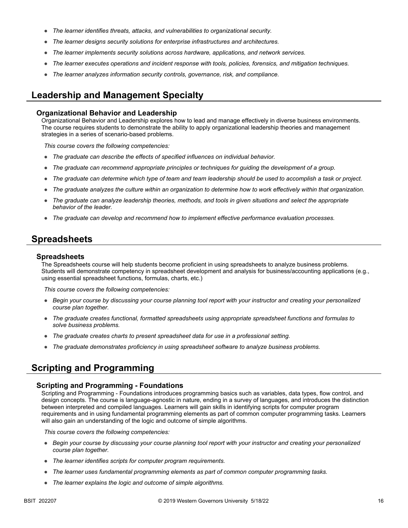- *The learner identifies threats, attacks, and vulnerabilities to organizational security.*
- *The learner designs security solutions for enterprise infrastructures and architectures.*
- *The learner implements security solutions across hardware, applications, and network services.*
- *The learner executes operations and incident response with tools, policies, forensics, and mitigation techniques.*
- *The learner analyzes information security controls, governance, risk, and compliance.*

### **Leadership and Management Specialty**

#### **Organizational Behavior and Leadership**

Organizational Behavior and Leadership explores how to lead and manage effectively in diverse business environments. The course requires students to demonstrate the ability to apply organizational leadership theories and management strategies in a series of scenario-based problems.

*This course covers the following competencies:*

- *The graduate can describe the effects of specified influences on individual behavior.*
- *The graduate can recommend appropriate principles or techniques for guiding the development of a group.*
- *The graduate can determine which type of team and team leadership should be used to accomplish a task or project.*
- *The graduate analyzes the culture within an organization to determine how to work effectively within that organization.*
- *The graduate can analyze leadership theories, methods, and tools in given situations and select the appropriate behavior of the leader.*
- *The graduate can develop and recommend how to implement effective performance evaluation processes.*

### **Spreadsheets**

#### **Spreadsheets**

The Spreadsheets course will help students become proficient in using spreadsheets to analyze business problems. Students will demonstrate competency in spreadsheet development and analysis for business/accounting applications (e.g., using essential spreadsheet functions, formulas, charts, etc.)

*This course covers the following competencies:*

- *Begin your course by discussing your course planning tool report with your instructor and creating your personalized course plan together.*
- *The graduate creates functional, formatted spreadsheets using appropriate spreadsheet functions and formulas to solve business problems.*
- *The graduate creates charts to present spreadsheet data for use in a professional setting.*
- *The graduate demonstrates proficiency in using spreadsheet software to analyze business problems.*

### **Scripting and Programming**

#### **Scripting and Programming - Foundations**

Scripting and Programming - Foundations introduces programming basics such as variables, data types, flow control, and design concepts. The course is language-agnostic in nature, ending in a survey of languages, and introduces the distinction between interpreted and compiled languages. Learners will gain skills in identifying scripts for computer program requirements and in using fundamental programming elements as part of common computer programming tasks. Learners will also gain an understanding of the logic and outcome of simple algorithms.

- *Begin your course by discussing your course planning tool report with your instructor and creating your personalized course plan together.*
- *The learner identifies scripts for computer program requirements.*
- *The learner uses fundamental programming elements as part of common computer programming tasks.*
- *The learner explains the logic and outcome of simple algorithms.*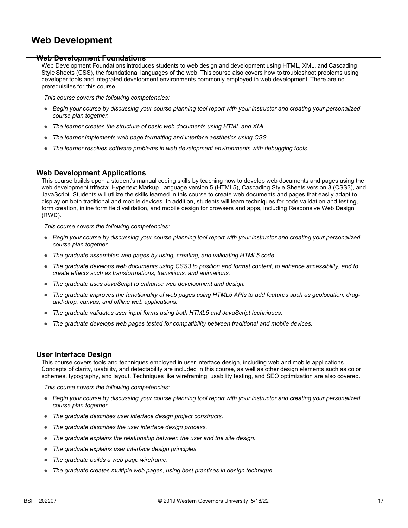### **Web Development**

#### **Web Development Foundations**

Web Development Foundations introduces students to web design and development using HTML, XML, and Cascading Style Sheets (CSS), the foundational languages of the web. This course also covers how to troubleshoot problems using developer tools and integrated development environments commonly employed in web development. There are no prerequisites for this course. 

*This course covers the following competencies:*

- *Begin your course by discussing your course planning tool report with your instructor and creating your personalized course plan together.*
- *The learner creates the structure of basic web documents using HTML and XML.*
- *The learner implements web page formatting and interface aesthetics using CSS*
- *The learner resolves software problems in web development environments with debugging tools.*

### **Web Development Applications**

This course builds upon a student's manual coding skills by teaching how to develop web documents and pages using the web development trifecta: Hypertext Markup Language version 5 (HTML5), Cascading Style Sheets version 3 (CSS3), and JavaScript. Students will utilize the skills learned in this course to create web documents and pages that easily adapt to display on both traditional and mobile devices. In addition, students will learn techniques for code validation and testing, form creation, inline form field validation, and mobile design for browsers and apps, including Responsive Web Design (RWD).

*This course covers the following competencies:*

- *Begin your course by discussing your course planning tool report with your instructor and creating your personalized course plan together.*
- *The graduate assembles web pages by using, creating, and validating HTML5 code.*
- *The graduate develops web documents using CSS3 to position and format content, to enhance accessibility, and to create effects such as transformations, transitions, and animations.*
- *The graduate uses JavaScript to enhance web development and design.*
- *The graduate improves the functionality of web pages using HTML5 APIs to add features such as geolocation, dragand-drop, canvas, and offline web applications.*
- *The graduate validates user input forms using both HTML5 and JavaScript techniques.*
- *The graduate develops web pages tested for compatibility between traditional and mobile devices.*

### **User Interface Design**

This course covers tools and techniques employed in user interface design, including web and mobile applications. Concepts of clarity, usability, and detectability are included in this course, as well as other design elements such as color schemes, typography, and layout. Techniques like wireframing, usability testing, and SEO optimization are also covered.

- *Begin your course by discussing your course planning tool report with your instructor and creating your personalized course plan together.*
- *The graduate describes user interface design project constructs.*
- *The graduate describes the user interface design process.*
- *The graduate explains the relationship between the user and the site design.*
- *The graduate explains user interface design principles.*
- *The graduate builds a web page wireframe.*
- *The graduate creates multiple web pages, using best practices in design technique.*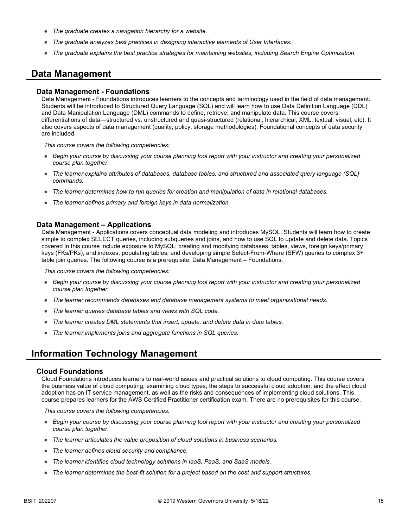- *The graduate creates a navigation hierarchy for a website.*
- *The graduate analyzes best practices in designing interactive elements of User Interfaces.*
- *The graduate explains the best practice strategies for maintaining websites, including Search Engine Optimization.*

### **Data Management**

#### **Data Management - Foundations**

Data Management - Foundations introduces learners to the concepts and terminology used in the field of data management. Students will be introduced to Structured Query Language (SQL) and will learn how to use Data Definition Language (DDL) and Data Manipulation Language (DML) commands to define, retrieve, and manipulate data. This course covers differentiations of data—structured vs. unstructured and quasi-structured (relational, hierarchical, XML, textual, visual, etc). It also covers aspects of data management (quality, policy, storage methodologies). Foundational concepts of data security are included.

*This course covers the following competencies:*

- *Begin your course by discussing your course planning tool report with your instructor and creating your personalized course plan together.*
- *The learner explains attributes of databases, database tables, and structured and associated query language (SQL) commands.*
- *The learner determines how to run queries for creation and manipulation of data in relational databases.*
- *The learner defines primary and foreign keys in data normalization.*

#### **Data Management – Applications**

Data Management - Applications covers conceptual data modeling and introduces MySQL. Students will learn how to create simple to complex SELECT queries, including subqueries and joins, and how to use SQL to update and delete data. Topics covered in this course include exposure to MySQL; creating and modifying databases, tables, views, foreign keys/primary keys (FKs/PKs), and indexes; populating tables; and developing simple Select-From-Where (SFW) queries to complex 3+ table join queries. The following course is a prerequisite: Data Management – Foundations.

*This course covers the following competencies:*

- *Begin your course by discussing your course planning tool report with your instructor and creating your personalized course plan together.*
- *The learner recommends databases and database management systems to meet organizational needs.*
- *The learner queries database tables and views with SQL code.*
- *The learner creates DML statements that insert, update, and delete data in data tables.*
- *The learner implements joins and aggregate functions in SQL queries.*

### **Information Technology Management**

#### **Cloud Foundations**

Cloud Foundations introduces learners to real-world issues and practical solutions to cloud computing. This course covers the business value of cloud computing, examining cloud types, the steps to successful cloud adoption, and the effect cloud adoption has on IT service management, as well as the risks and consequences of implementing cloud solutions. This course prepares learners for the AWS Certified Practitioner certification exam. There are no prerequisites for this course.

- *Begin your course by discussing your course planning tool report with your instructor and creating your personalized course plan together.*
- *The learner articulates the value proposition of cloud solutions in business scenarios.*
- *The learner defines cloud security and compliance.*
- *The learner identifies cloud technology solutions in IaaS, PaaS, and SaaS models.*
- *The learner determines the best-fit solution for a project based on the cost and support structures.*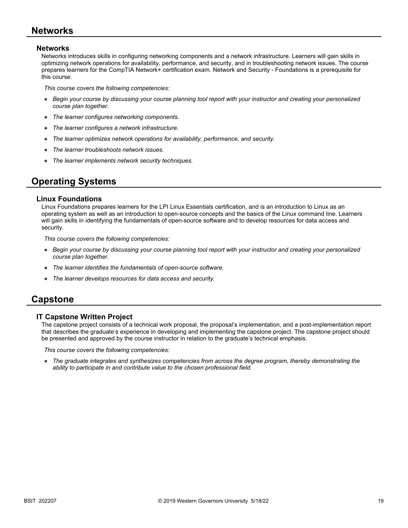### **Networks**

### **Networks**

Networks introduces skills in configuring networking components and a network infrastructure. Learners will gain skills in optimizing network operations for availability, performance, and security, and in troubleshooting network issues. The course prepares learners for the CompTIA Network+ certification exam. Network and Security - Foundations is a prerequisite for this course.

*This course covers the following competencies:*

- *Begin your course by discussing your course planning tool report with your instructor and creating your personalized course plan together.*
- *The learner configures networking components.*
- *The learner configures a network infrastructure.*
- *The learner optimizes network operations for availability, performance, and security.*
- *The learner troubleshoots network issues.*
- *The learner implements network security techniques.*

## **Operating Systems**

#### **Linux Foundations**

Linux Foundations prepares learners for the LPI Linux Essentials certification, and is an introduction to Linux as an operating system as well as an introduction to open-source concepts and the basics of the Linux command line. Learners will gain skills in identifying the fundamentals of open-source software and to develop resources for data access and security.

*This course covers the following competencies:*

- *Begin your course by discussing your course planning tool report with your instructor and creating your personalized course plan together.*
- *The learner identifies the fundamentals of open-source software.*
- *The learner develops resources for data access and security.*

### **Capstone**

### **IT Capstone Written Project**

The capstone project consists of a technical work proposal, the proposal's implementation, and a post-implementation report that describes the graduate's experience in developing and implementing the capstone project. The capstone project should be presented and approved by the course instructor in relation to the graduate's technical emphasis.

*This course covers the following competencies:*

● *The graduate integrates and synthesizes competencies from across the degree program, thereby demonstrating the ability to participate in and contribute value to the chosen professional field.*